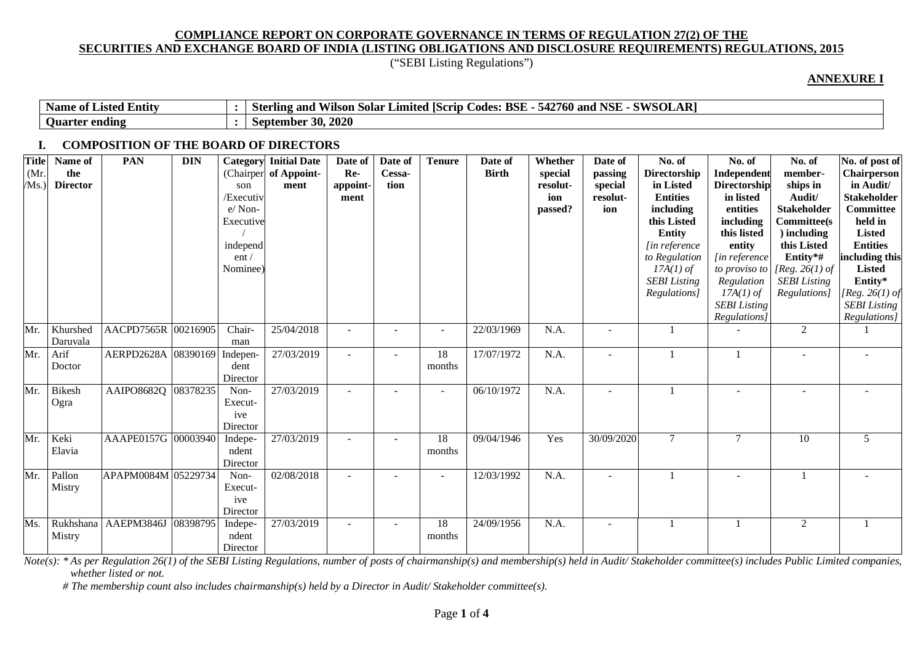("SEBI Listing Regulations")

#### **ANNEXURE I**

| <b>Entity</b><br>Name<br>Listed<br>- of | $\sim$ $\sim$ $\sim$<br>$\sim$ CWCOT<br>D.<br><b>BSE</b><br>$\sim$<br>760<br>Limited [Scrip $\epsilon$<br>NSF<br>odes.<br>and<br>`and<br>'Ste<br>. Solar<br>rlıng.<br>wiison<br>SULAN<br>◡▬▵ |
|-----------------------------------------|----------------------------------------------------------------------------------------------------------------------------------------------------------------------------------------------|
| ending<br><b>Ouarter</b>                | 30, 2020<br>September                                                                                                                                                                        |

#### **I. COMPOSITION OF THE BOARD OF DIRECTORS**

| <b>Title</b><br>(Mr.<br>/Ms.) | Name of<br>the<br><b>Director</b> | <b>PAN</b>          | <b>DIN</b> | Category<br>(Chairper<br>son<br>/Executiv<br>e/Non-<br>Executive<br>independ<br>ent/<br>Nominee <sup>)</sup> | <b>Initial Date</b><br>of Appoint-<br>ment | Date of<br>Re-<br>appoint-<br>ment | Date of<br>Cessa-<br>tion | <b>Tenure</b>            | Date of<br><b>Birth</b> | Whether<br>special<br>resolut-<br>ion<br>passed? | Date of<br>passing<br>special<br>resolut-<br>ion | No. of<br><b>Directorship</b><br>in Listed<br><b>Entities</b><br>including<br>this Listed<br><b>Entity</b><br>[in reference]<br>to Regulation<br>$17A(1)$ of<br><b>SEBI</b> Listing<br>Regulations] | No. of<br>Independent<br><b>Directorship</b><br>in listed<br>entities<br>including<br>this listed<br>entity<br>[in reference<br>Regulation<br>$17A(1)$ of<br><b>SEBI</b> Listing<br>Regulations] | No. of<br>member-<br>ships in<br>Audit/<br><b>Stakeholder</b><br><b>Committee(s)</b><br>) including<br>this Listed<br>Entity*#<br>to proviso to [Reg. 26(1) of<br><b>SEBI</b> Listing<br>Regulations] | No. of post of<br><b>Chairperson</b><br>in Audit/<br><b>Stakeholder</b><br>Committee<br>held in<br><b>Listed</b><br><b>Entities</b><br>including this<br><b>Listed</b><br>Entity*<br>[ $Reg. 26(1)$ of<br><b>SEBI</b> Listing<br>Regulations] |
|-------------------------------|-----------------------------------|---------------------|------------|--------------------------------------------------------------------------------------------------------------|--------------------------------------------|------------------------------------|---------------------------|--------------------------|-------------------------|--------------------------------------------------|--------------------------------------------------|-----------------------------------------------------------------------------------------------------------------------------------------------------------------------------------------------------|--------------------------------------------------------------------------------------------------------------------------------------------------------------------------------------------------|-------------------------------------------------------------------------------------------------------------------------------------------------------------------------------------------------------|-----------------------------------------------------------------------------------------------------------------------------------------------------------------------------------------------------------------------------------------------|
| Mr.                           | Khurshed<br>Daruvala              | AACPD7565R 00216905 |            | Chair-<br>man                                                                                                | 25/04/2018                                 |                                    |                           | $\blacksquare$           | 22/03/1969              | N.A.                                             |                                                  |                                                                                                                                                                                                     |                                                                                                                                                                                                  | $\overline{2}$                                                                                                                                                                                        |                                                                                                                                                                                                                                               |
| Mr.                           | Arif<br>Doctor                    | AERPD2628A 08390169 |            | Indepen-<br>dent<br>Director                                                                                 | 27/03/2019                                 |                                    |                           | 18<br>months             | 17/07/1972              | N.A.                                             |                                                  |                                                                                                                                                                                                     |                                                                                                                                                                                                  |                                                                                                                                                                                                       |                                                                                                                                                                                                                                               |
| Mr.                           | <b>Bikesh</b><br>Ogra             | AAIPO8682Q 08378235 |            | Non-<br>Execut-<br>ive<br>Director                                                                           | 27/03/2019                                 |                                    |                           | $\overline{\phantom{a}}$ | 06/10/1972              | N.A.                                             |                                                  |                                                                                                                                                                                                     |                                                                                                                                                                                                  |                                                                                                                                                                                                       |                                                                                                                                                                                                                                               |
| Mr.                           | Keki<br>Elavia                    | AAAPE0157G 00003940 |            | Indepe-<br>ndent<br>Director                                                                                 | 27/03/2019                                 |                                    |                           | 18<br>months             | 09/04/1946              | Yes                                              | 30/09/2020                                       | $\tau$                                                                                                                                                                                              | $\overline{7}$                                                                                                                                                                                   | 10                                                                                                                                                                                                    | 5                                                                                                                                                                                                                                             |
| Mr.                           | Pallon<br>Mistry                  | APAPM0084M 05229734 |            | Non-<br>Execut-<br>ive<br>Director                                                                           | 02/08/2018                                 | $\overline{\phantom{a}}$           |                           | $\overline{\phantom{a}}$ | 12/03/1992              | N.A.                                             |                                                  |                                                                                                                                                                                                     |                                                                                                                                                                                                  |                                                                                                                                                                                                       |                                                                                                                                                                                                                                               |
| Ms.                           | Rukhshana<br>Mistry               | AAEPM3846J          | 08398795   | Indepe-<br>ndent<br>Director                                                                                 | 27/03/2019                                 | $\overline{\phantom{a}}$           | $\overline{\phantom{a}}$  | 18<br>months             | 24/09/1956              | N.A.                                             |                                                  |                                                                                                                                                                                                     |                                                                                                                                                                                                  | $\overline{2}$                                                                                                                                                                                        |                                                                                                                                                                                                                                               |

*Note(s): \* As per Regulation 26(1) of the SEBI Listing Regulations, number of posts of chairmanship(s) and membership(s) held in Audit/ Stakeholder committee(s) includes Public Limited companies, whether listed or not.* 

*# The membership count also includes chairmanship(s) held by a Director in Audit/ Stakeholder committee(s).*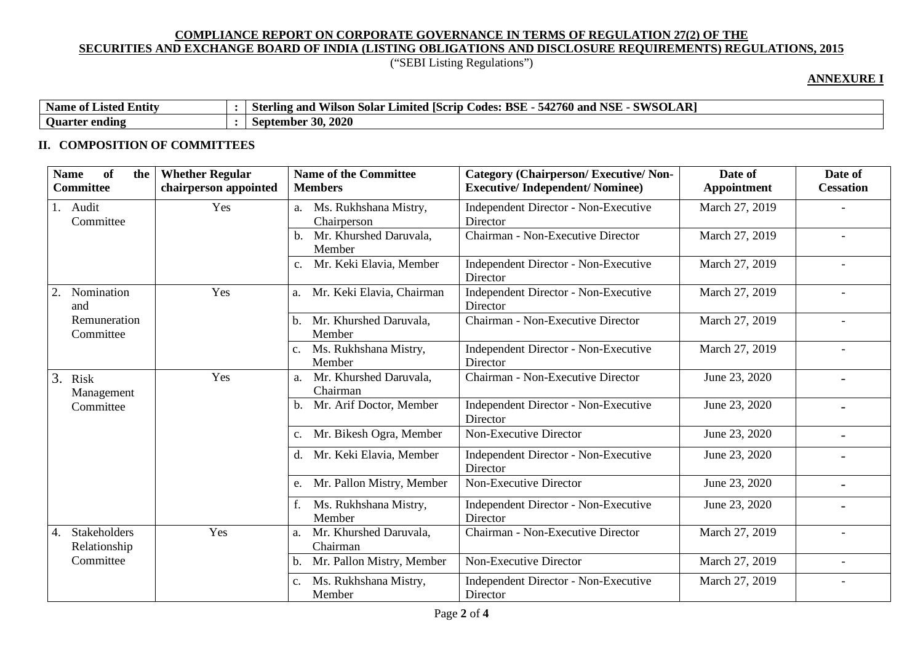# ("SEBI Listing Regulations")

## **ANNEXURE I**

| Name<br>$\cdot$ .<br>e of Listed Entity | D.<br>' NSE<br>SWSOL<br>$- - - - -$<br>BSE<br>.<br><b>FO</b><br><b>ISCrip</b><br>Codes:<br>760 and<br>Limited<br>and<br>$\blacksquare$<br>Sterling<br>. Solar -<br>/1lson<br>A<br>$\sim$<br>◡− |
|-----------------------------------------|------------------------------------------------------------------------------------------------------------------------------------------------------------------------------------------------|
| <b>Ouarter</b><br>ending                | 30, 2020<br>September                                                                                                                                                                          |

## **II. COMPOSITION OF COMMITTEES**

| <b>of</b><br><b>Name</b><br>the<br><b>Committee</b> | <b>Whether Regular</b><br>chairperson appointed | <b>Name of the Committee</b><br><b>Members</b> | <b>Category (Chairperson/Executive/Non-</b><br><b>Executive/Independent/Nominee)</b> | Date of<br>Appointment | Date of<br><b>Cessation</b> |
|-----------------------------------------------------|-------------------------------------------------|------------------------------------------------|--------------------------------------------------------------------------------------|------------------------|-----------------------------|
| 1. Audit<br>Committee                               | Yes                                             | Ms. Rukhshana Mistry,<br>a.<br>Chairperson     | <b>Independent Director - Non-Executive</b><br>Director                              | March 27, 2019         |                             |
|                                                     |                                                 | Mr. Khurshed Daruvala,<br>b.<br>Member         | Chairman - Non-Executive Director                                                    | March 27, 2019         |                             |
|                                                     |                                                 | Mr. Keki Elavia, Member                        | Independent Director - Non-Executive<br>Director                                     | March 27, 2019         |                             |
| Nomination<br>2.<br>and                             | Yes                                             | Mr. Keki Elavia, Chairman<br>a.                | Independent Director - Non-Executive<br>Director                                     | March 27, 2019         |                             |
| Remuneration<br>Committee                           |                                                 | Mr. Khurshed Daruvala,<br>b.<br>Member         | Chairman - Non-Executive Director                                                    | March 27, 2019         |                             |
|                                                     |                                                 | Ms. Rukhshana Mistry,<br>$c_{\cdot}$<br>Member | <b>Independent Director - Non-Executive</b><br>Director                              | March 27, 2019         |                             |
| 3. Risk<br>Management                               | Yes                                             | Mr. Khurshed Daruvala,<br>a.<br>Chairman       | Chairman - Non-Executive Director                                                    | June 23, 2020          | $\overline{\phantom{a}}$    |
| Committee                                           |                                                 | Mr. Arif Doctor, Member<br>b.                  | <b>Independent Director - Non-Executive</b><br>Director                              | June 23, 2020          | $\blacksquare$              |
|                                                     |                                                 | Mr. Bikesh Ogra, Member<br>$C_{\bullet}$       | <b>Non-Executive Director</b>                                                        | June 23, 2020          | $\blacksquare$              |
|                                                     |                                                 | Mr. Keki Elavia, Member<br>d.                  | Independent Director - Non-Executive<br>Director                                     | June 23, 2020          |                             |
|                                                     |                                                 | Mr. Pallon Mistry, Member<br>e.                | Non-Executive Director                                                               | June 23, 2020          | $\overline{\phantom{0}}$    |
|                                                     |                                                 | Ms. Rukhshana Mistry,<br>Member                | Independent Director - Non-Executive<br>Director                                     | June 23, 2020          |                             |
| Stakeholders<br>4.<br>Relationship                  | Yes                                             | Mr. Khurshed Daruvala,<br>a.<br>Chairman       | Chairman - Non-Executive Director                                                    | March 27, 2019         |                             |
| Committee                                           |                                                 | Mr. Pallon Mistry, Member<br>b.                | Non-Executive Director                                                               | March 27, 2019         |                             |
|                                                     |                                                 | Ms. Rukhshana Mistry,<br>c.<br>Member          | <b>Independent Director - Non-Executive</b><br>Director                              | March 27, 2019         |                             |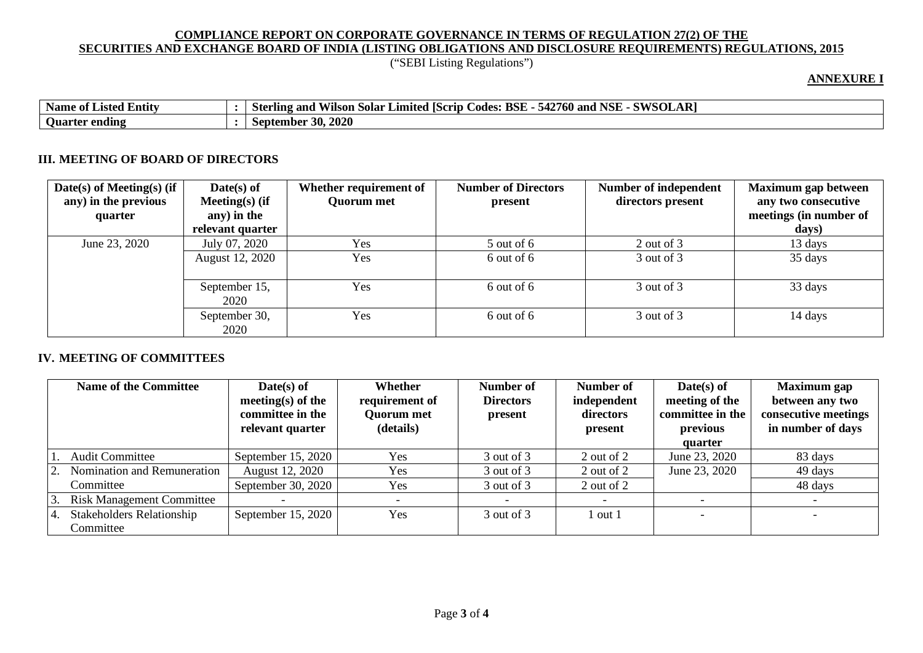("SEBI Listing Regulations")

## **ANNEXURE I**

| $\cdot$ .<br><b>Name</b><br>. Entity<br>` 01-<br>Listed | <b>D</b><br><b>NSE</b><br>си/слі<br>BSE<br><b>FO</b><br>2760 L<br><b>ISCrip</b><br>and<br>and<br>Limited<br>Codes:<br>Vilson<br>.50lar<br>547<br>. 11N9 -<br>"Ste<br><u>⇒ າານ</u><br>SVLAN |
|---------------------------------------------------------|--------------------------------------------------------------------------------------------------------------------------------------------------------------------------------------------|
| <b>Uuarter</b><br>' ending                              | 30, 2020<br>September                                                                                                                                                                      |

### **III. MEETING OF BOARD OF DIRECTORS**

| Date(s) of Meeting(s) (if<br>any) in the previous<br>quarter | $Date(s)$ of<br>Meeting $(s)$ (if<br>any) in the<br>relevant quarter | Whether requirement of<br><b>Quorum met</b> | <b>Number of Directors</b><br>present | Number of independent<br>directors present | <b>Maximum gap between</b><br>any two consecutive<br>meetings (in number of<br>days) |
|--------------------------------------------------------------|----------------------------------------------------------------------|---------------------------------------------|---------------------------------------|--------------------------------------------|--------------------------------------------------------------------------------------|
| June 23, 2020                                                | July 07, 2020                                                        | Yes                                         | $5$ out of 6                          | 2 out of 3                                 | 13 days                                                                              |
|                                                              | August 12, 2020                                                      | Yes                                         | 6 out of 6                            | 3 out of 3                                 | 35 days                                                                              |
|                                                              | September 15,<br>2020                                                | Yes                                         | 6 out of 6                            | 3 out of 3                                 | 33 days                                                                              |
|                                                              | September 30,<br>2020                                                | Yes                                         | 6 out of 6                            | 3 out of 3                                 | 14 days                                                                              |

## **IV. MEETING OF COMMITTEES**

|     | <b>Name of the Committee</b>                  | $Date(s)$ of<br>meeting(s) of the<br>committee in the<br>relevant quarter | Whether<br>requirement of<br><b>Quorum met</b><br>(details) | Number of<br><b>Directors</b><br>present | Number of<br>independent<br>directors<br>present | $Date(s)$ of<br>meeting of the<br>committee in the<br>previous<br>quarter | <b>Maximum</b> gap<br>between any two<br>consecutive meetings<br>in number of days |
|-----|-----------------------------------------------|---------------------------------------------------------------------------|-------------------------------------------------------------|------------------------------------------|--------------------------------------------------|---------------------------------------------------------------------------|------------------------------------------------------------------------------------|
|     | <b>Audit Committee</b>                        | September $15, 2020$                                                      | <b>Yes</b>                                                  | 3 out of 3                               | 2 out of 2                                       | June 23, 2020                                                             | 83 days                                                                            |
|     | 2. Nomination and Remuneration                | August 12, 2020                                                           | <b>Yes</b>                                                  | 3 out of 3                               | 2 out of 2                                       | June 23, 2020                                                             | 49 days                                                                            |
|     | Committee                                     | September 30, 2020                                                        | Yes                                                         | $3$ out of $3$                           | 2 out of 2                                       |                                                                           | 48 days                                                                            |
| 3.  | <b>Risk Management Committee</b>              |                                                                           |                                                             |                                          |                                                  |                                                                           |                                                                                    |
| -4. | <b>Stakeholders Relationship</b><br>Committee | September 15, 2020                                                        | Yes                                                         | 3 out of 3                               | l out 1                                          |                                                                           |                                                                                    |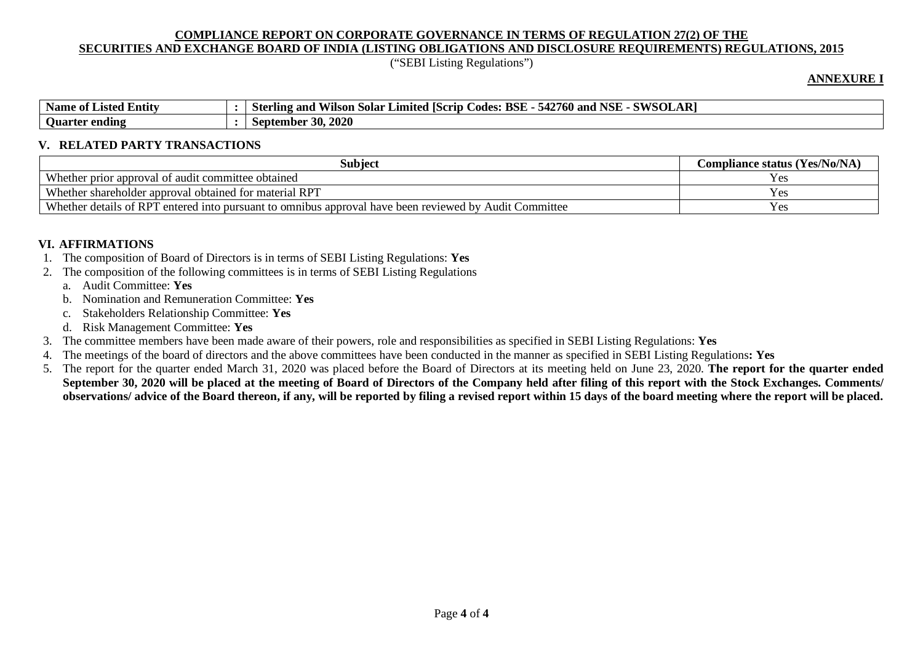("SEBI Listing Regulations")

#### **ANNEXURE I**

| <b>Name</b><br>Entity<br>Listed<br>` 01- | SWSOLAR <sup>1</sup><br><b>BSF</b><br>NCL<br>42760<br><b>Sterling</b><br>_ode <sup>c</sup><br>and<br>Limited<br> Scrip <br>solar<br>vuson<br>54.<br>and<br>NOL |
|------------------------------------------|----------------------------------------------------------------------------------------------------------------------------------------------------------------|
| <b>Ouart</b><br>ending<br>rter           | $-30, 2020$<br>September                                                                                                                                       |

#### **V. RELATED PARTY TRANSACTIONS**

| Subjec                                                                                                 | <b>Compliance status (Yes/No/NA)</b> |
|--------------------------------------------------------------------------------------------------------|--------------------------------------|
| Whether prior approval of audit committee obtained                                                     |                                      |
| Whether shareholder approval obtained for material RPT                                                 | y es                                 |
| Whether details of RPT entered into pursuant to omnibus approval have been reviewed by Audit Committee | Y es                                 |

## **VI. AFFIRMATIONS**

- 1. The composition of Board of Directors is in terms of SEBI Listing Regulations: **Yes**
- 2. The composition of the following committees is in terms of SEBI Listing Regulations
	- a. Audit Committee: **Yes**
	- b. Nomination and Remuneration Committee: **Yes**
	- c. Stakeholders Relationship Committee: **Yes**
	- d. Risk Management Committee: **Yes**
- 3. The committee members have been made aware of their powers, role and responsibilities as specified in SEBI Listing Regulations: **Yes**
- 4. The meetings of the board of directors and the above committees have been conducted in the manner as specified in SEBI Listing Regulations**: Yes**
- 5. The report for the quarter ended March 31, 2020 was placed before the Board of Directors at its meeting held on June 23, 2020. **The report for the quarter ended September 30, 2020 will be placed at the meeting of Board of Directors of the Company held after filing of this report with the Stock Exchanges. Comments/ observations/ advice of the Board thereon, if any, will be reported by filing a revised report within 15 days of the board meeting where the report will be placed.**